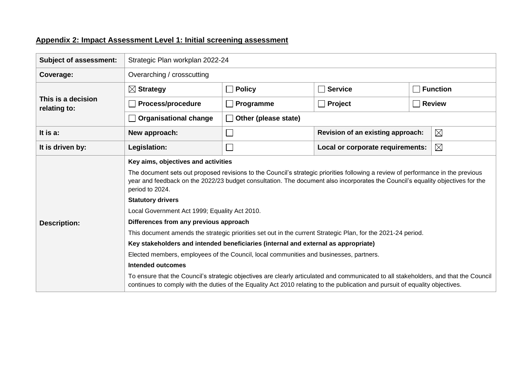## **Appendix 2: Impact Assessment Level 1: Initial screening assessment**

| <b>Subject of assessment:</b>      | Strategic Plan workplan 2022-24                                                                                                                                                                                                                                                                                                                                                                                                                                                                                                                                                                                                                                                                                                                                                                                                                                                                                                                                                                                                                         |                             |                                                 |                                                  |  |  |  |  |  |
|------------------------------------|---------------------------------------------------------------------------------------------------------------------------------------------------------------------------------------------------------------------------------------------------------------------------------------------------------------------------------------------------------------------------------------------------------------------------------------------------------------------------------------------------------------------------------------------------------------------------------------------------------------------------------------------------------------------------------------------------------------------------------------------------------------------------------------------------------------------------------------------------------------------------------------------------------------------------------------------------------------------------------------------------------------------------------------------------------|-----------------------------|-------------------------------------------------|--------------------------------------------------|--|--|--|--|--|
| Coverage:                          | Overarching / crosscutting                                                                                                                                                                                                                                                                                                                                                                                                                                                                                                                                                                                                                                                                                                                                                                                                                                                                                                                                                                                                                              |                             |                                                 |                                                  |  |  |  |  |  |
| This is a decision<br>relating to: | $\boxtimes$ Strategy                                                                                                                                                                                                                                                                                                                                                                                                                                                                                                                                                                                                                                                                                                                                                                                                                                                                                                                                                                                                                                    | $\Box$ Policy               | $\sqcap$ Service                                | <b>Function</b>                                  |  |  |  |  |  |
|                                    | <b>Process/procedure</b>                                                                                                                                                                                                                                                                                                                                                                                                                                                                                                                                                                                                                                                                                                                                                                                                                                                                                                                                                                                                                                | $\Box$ Programme            | Project                                         | <b>Review</b>                                    |  |  |  |  |  |
|                                    | <b>Organisational change</b>                                                                                                                                                                                                                                                                                                                                                                                                                                                                                                                                                                                                                                                                                                                                                                                                                                                                                                                                                                                                                            | Other (please state)        |                                                 |                                                  |  |  |  |  |  |
| It is a:                           | New approach:                                                                                                                                                                                                                                                                                                                                                                                                                                                                                                                                                                                                                                                                                                                                                                                                                                                                                                                                                                                                                                           | $\mathcal{L}_{\mathcal{A}}$ |                                                 | $\boxtimes$<br>Revision of an existing approach: |  |  |  |  |  |
| It is driven by:                   | Legislation:                                                                                                                                                                                                                                                                                                                                                                                                                                                                                                                                                                                                                                                                                                                                                                                                                                                                                                                                                                                                                                            | $\mathcal{L}_{\mathcal{A}}$ | $\boxtimes$<br>Local or corporate requirements: |                                                  |  |  |  |  |  |
| <b>Description:</b>                | Key aims, objectives and activities<br>The document sets out proposed revisions to the Council's strategic priorities following a review of performance in the previous<br>year and feedback on the 2022/23 budget consultation. The document also incorporates the Council's equality objectives for the<br>period to 2024.<br><b>Statutory drivers</b><br>Local Government Act 1999; Equality Act 2010.<br>Differences from any previous approach<br>This document amends the strategic priorities set out in the current Strategic Plan, for the 2021-24 period.<br>Key stakeholders and intended beneficiaries (internal and external as appropriate)<br>Elected members, employees of the Council, local communities and businesses, partners.<br><b>Intended outcomes</b><br>To ensure that the Council's strategic objectives are clearly articulated and communicated to all stakeholders, and that the Council<br>continues to comply with the duties of the Equality Act 2010 relating to the publication and pursuit of equality objectives. |                             |                                                 |                                                  |  |  |  |  |  |